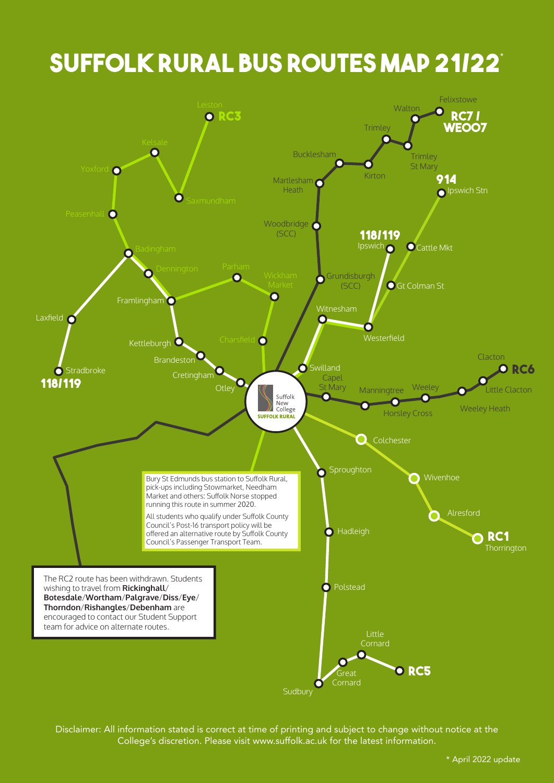# **suffolk rural Bus Routes Map 21/22**\*



Disclaimer: All information stated is correct at time of printing and subject to change without notice at the College's discretion. Please visit www.suffolk.ac.uk for the latest information.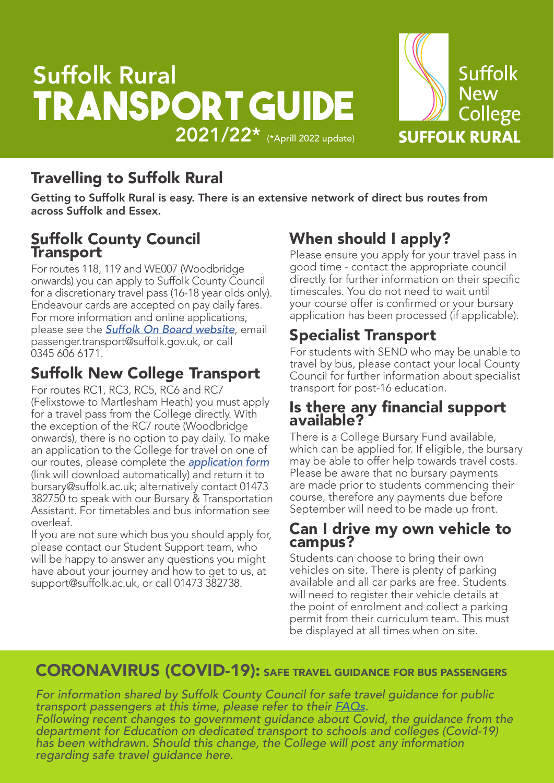# Suffolk Rural **Transport Guide** 2021/22\* (\*Aprill 2022 update)



# Travelling to Suffolk Rural

Getting to Suffolk Rural is easy. There is an extensive network of direct bus routes from across Suffolk and Essex.

## Suffolk County Council **Transport**

For routes 118, 119 and WE007 (Woodbridge onwards) you can apply to Suffolk County Council for a discretionary travel pass (16-18 year olds only). Endeavour cards are accepted on pay daily fares. For more information and online applications, please see the *Suffolk On Board website*, email passenger.transport@suffolk.gov.uk, or call 0345 606 6171.

# Suffolk New College Transport

For routes RC1, RC3, RC5, RC6 and RC7 (Felixstowe to Martlesham Heath) you must apply for a travel pass from the College directly. With the exception of the RC7 route (Woodbridge onwards), there is no option to pay daily. To make an application to the College for travel on one of our routes, please complete the *application form* (link will download automatically) and return it to bursary@suffolk.ac.uk; alternatively contact 01473 382750 to speak with our Bursary & Transportation Assistant. For timetables and bus information see overleaf.

If you are not sure which bus you should apply for, please contact our Student Support team, who will be happy to answer any questions you might have about your journey and how to get to us, at support@suffolk.ac.uk, or call 01473 382738.

# When should I apply?

Please ensure you apply for your travel pass in good time - contact the appropriate council directly for further information on their specific timescales. You do not need to wait until your course offer is confirmed or your bursary application has been processed (if applicable).

# Specialist Transport

For students with SEND who may be unable to travel by bus, please contact your local County Council for further information about specialist transport for post-16 education.

## Is there any financial support available?

There is a College Bursary Fund available, which can be applied for. If eligible, the bursary may be able to offer help towards travel costs. Please be aware that no bursary payments are made prior to students commencing their course, therefore any payments due before September will need to be made up front.

## Can I drive my own vehicle to campus?

Students can choose to bring their own vehicles on site. There is plenty of parking available and all car parks are free. Students will need to register their vehicle details at the point of enrolment and collect a parking permit from their curriculum team. This must be displayed at all times when on site.

# CORONAVIRUS (COVID-19): SAFE TRAVEL GUIDANCE FOR BUS PASSENGERS

*For information shared by Suffolk County Council for safe travel guidance for public transport passengers at this time, please refer to their FAQs. Following recent changes to government guidance about Covid, the guidance from the department for Education on dedicated transport to schools and colleges (Covid-19) has been withdrawn. Should this change, the College will post any information regarding safe travel guidance here.*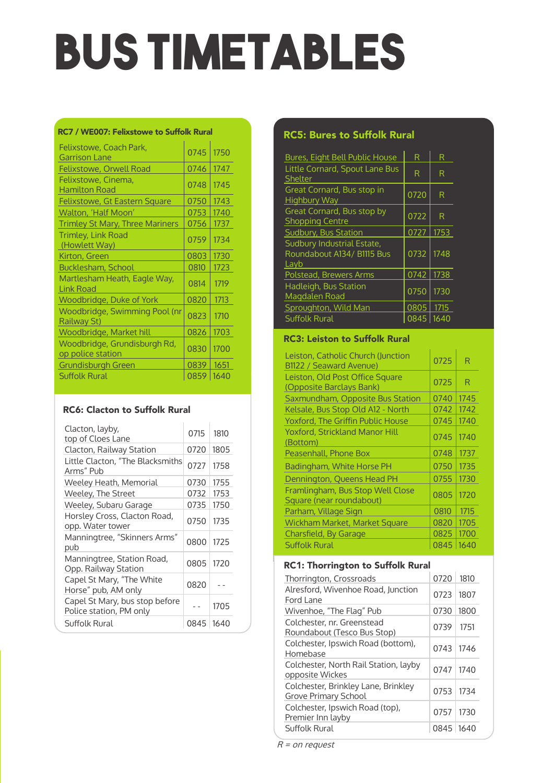# **BUS TIMETABLEs**

#### RC7 / WE007: Felixstowe to Suffolk Rural

| Felixstowe, Coach Park,<br><b>Garrison Lane</b>   | 0745 | 1750 |
|---------------------------------------------------|------|------|
| Felixstowe, Orwell Road                           | 0746 | 1747 |
| Felixstowe, Cinema,<br><b>Hamilton Road</b>       | 0748 | 1745 |
| Felixstowe, Gt Eastern Square                     | 0750 | 1743 |
| Walton, 'Half Moon'                               | 0753 | 1740 |
| <b>Trimley St Mary, Three Mariners</b>            | 0756 | 1737 |
| <b>Trimley, Link Road</b><br>(Howlett Way)        | 0759 | 1734 |
| Kirton, Green                                     | 0803 | 1730 |
| <b>Bucklesham, School</b>                         | 0810 | 1723 |
| Martlesham Heath, Eagle Way,<br><b>Link Road</b>  | 0814 | 1719 |
| Woodbridge, Duke of York                          | 0820 | 1713 |
| Woodbridge, Swimming Pool (nr<br>Railway St)      | 0823 | 1710 |
| Woodbridge, Market hill                           | 0826 | 1703 |
| Woodbridge, Grundisburgh Rd,<br>op police station | 0830 | 1700 |
| Grundisburgh Green                                | 0839 | 1651 |
| <b>Suffolk Rural</b>                              | 0859 | 1640 |

#### RC6: Clacton to Suffolk Rural

| Clacton, layby,<br>top of Cloes Lane                      | 0715 | 1810 |
|-----------------------------------------------------------|------|------|
| Clacton, Railway Station                                  | 0720 | 1805 |
| Little Clacton, "The Blacksmiths<br>Arms" Pub             | 0727 | 1758 |
| Weeley Heath, Memorial                                    | 0730 | 1755 |
| Weeley, The Street                                        | 0732 | 1753 |
| Weeley, Subaru Garage                                     | 0735 | 1750 |
| Horsley Cross, Clacton Road,<br>opp. Water tower          | 0750 | 1735 |
| Manningtree, "Skinners Arms"<br>pub                       | 0800 | 1725 |
| Manningtree, Station Road,<br>Opp. Railway Station        | 0805 | 1720 |
| Capel St Mary, "The White<br>Horse" pub, AM only          | 0820 |      |
| Capel St Mary, bus stop before<br>Police station, PM only |      | 1705 |
| Suffolk Rural                                             | 0845 | 1640 |

#### RC5: Bures to Suffolk Rural

| <b>Bures, Eight Bell Public House</b>                            | R           | R    |
|------------------------------------------------------------------|-------------|------|
| Little Cornard, Spout Lane Bus<br><b>Shelter</b>                 | R           | R    |
| Great Cornard, Bus stop in<br><b>Highbury Way</b>                | 0720        | R    |
| Great Cornard, Bus stop by<br><b>Shopping Centre</b>             | 0722        | R    |
| Sudbury, Bus Station                                             | 0727        | 1753 |
| Sudbury Industrial Estate,<br>Roundabout A134/ B1115 Bus<br>Layb | 0732        | 1748 |
| Polstead, Brewers Arms                                           | 0742   1738 |      |
| Hadleigh, Bus Station<br>Magdalen Road                           | 0750        | 1730 |
| Sproughton, Wild Man                                             | 0805        | 1715 |
| <b>Suffolk Rural</b>                                             | 0845 1640   |      |

#### RC3: Leiston to Suffolk Rural

| Leiston, Catholic Church (Junction<br>B1122 / Seaward Avenue) | 0725 | R    |
|---------------------------------------------------------------|------|------|
| Leiston, Old Post Office Square<br>(Opposite Barclays Bank)   | 0725 | R    |
| Saxmundham, Opposite Bus Station                              | 0740 | 1745 |
| Kelsale, Bus Stop Old A12 - North                             | 0742 | 1742 |
| <b>Yoxford, The Griffin Public House</b>                      | 0745 | 1740 |
| Yoxford, Strickland Manor Hill<br>(Bottom)                    | 0745 | 1740 |
| Peasenhall, Phone Box                                         | 0748 | 1737 |
| Badingham, White Horse PH                                     | 0750 | 1735 |
| Dennington, Queens Head PH                                    | 0755 | 1730 |
| Framlingham, Bus Stop Well Close<br>Square (near roundabout)  | 0805 | 1720 |
| Parham, Village Sign                                          | 0810 | 1715 |
| Wickham Market, Market Square                                 | 0820 | 1705 |
| Charsfield, By Garage                                         | 0825 | 1700 |
| Suffolk Rural                                                 | 0845 | 1640 |

#### RC1: Thorrington to Suffolk Rural

| Thorrington, Crossroads               | 0720        | 1810 |
|---------------------------------------|-------------|------|
| Alresford, Wivenhoe Road, Junction    |             |      |
| Ford Lane                             | 0723        | 1807 |
|                                       |             |      |
| Wivenhoe, "The Flag" Pub              | 0730        | 1800 |
| Colchester, nr. Greenstead            | 0739        | 1751 |
| Roundabout (Tesco Bus Stop)           |             |      |
| Colchester, Ipswich Road (bottom),    |             |      |
| Homebase                              | 0743        | 1746 |
| Colchester, North Rail Station, layby |             |      |
| opposite Wickes                       | 0747        | 1740 |
| Colchester, Brinkley Lane, Brinkley   |             |      |
| <b>Grove Primary School</b>           | 0753        | 1734 |
|                                       |             |      |
| Colchester, Ipswich Road (top),       | 0757        | 1730 |
| Premier Inn layby                     |             |      |
| Suffolk Rural                         | 0845   1640 |      |

 $R = on$  request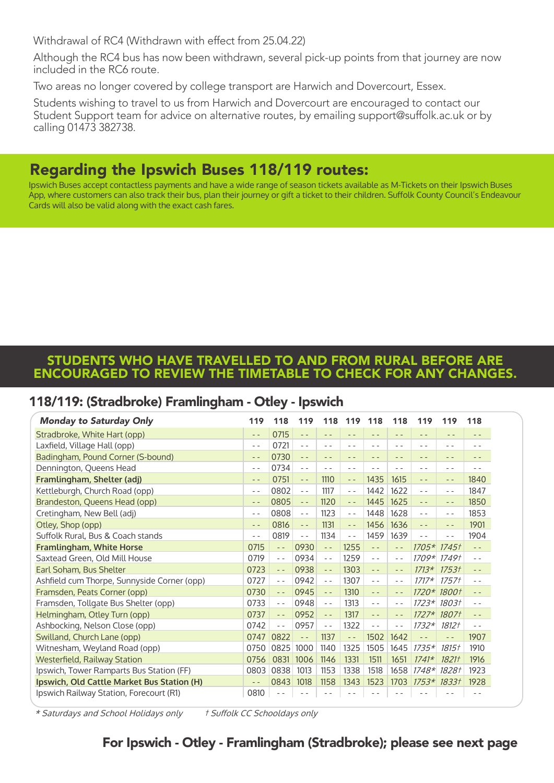Withdrawal of RC4 (Withdrawn with effect from 25.04.22)

Although the RC4 bus has now been withdrawn, several pick-up points from that journey are now included in the RC6 route.

Two areas no longer covered by college transport are Harwich and Dovercourt, Essex.

Students wishing to travel to us from Harwich and Dovercourt are encouraged to contact our Student Support team for advice on alternative routes, by emailing support@suffolk.ac.uk or by calling 01473 382738.

## Regarding the Ipswich Buses 118/119 routes:

Ipswich Buses accept contactless payments and have a wide range of season tickets available as M-Tickets on their Ipswich Buses App, where customers can also track their bus, plan their journey or gift a ticket to their children. Suffolk County Council's Endeavour Cards will also be valid along with the exact cash fares.

## STUDENTS WHO HAVE TRAVELLED TO AND FROM RURAL BEFORE ARE ENCOURAGED TO REVIEW THE TIMETABLE TO CHECK FOR ANY CHANGES.

## 118/119: (Stradbroke) Framlingham - Otley - Ipswich

| <b>Monday to Saturday Only</b>              | 119           | 118                | 119           | 118                | 119           | 118               | 118            | 119     | 119               | 118           |
|---------------------------------------------|---------------|--------------------|---------------|--------------------|---------------|-------------------|----------------|---------|-------------------|---------------|
| Stradbroke, White Hart (opp)                | $ -$          | 0715               | $\frac{1}{2}$ | $ -$               | $ -$          | $ -$              | $ -$           | $ -$    | $- -$             | $ -$          |
| Laxfield, Village Hall (opp)                | $ -$          | 0721               | $ -$          | $\sim$ $\sim$      | $ -$          | $ -$              | $ -$           | $ -$    | $ -$              | $ -$          |
| Badingham, Pound Corner (S-bound)           | $ -$          | 0730               | $\frac{1}{2}$ | $\frac{1}{2}$      | $\frac{1}{2}$ | $- -$             | $ -$           | $ -$    | $ -$              | $ -$          |
| Dennington, Queens Head                     | $ -$          | 0734               | $ -$          | $\sim$ $\sim$      | $ -$          | $ -$              | $ -$           | $ -$    | $ -$              | $ -$          |
| Framlingham, Shelter (adj)                  | $\frac{1}{2}$ | 0751               | $ -$          | 1110               | $\frac{1}{2}$ | 1435              | 1615           | $ -$    | $\frac{1}{2}$     | 1840          |
| Kettleburgh, Church Road (opp)              | $ -$          | 0802               | $ -$          | 1117               | $ -$          | 1442              | 1622           | $- -$   | $ -$              | 1847          |
| Brandeston, Queens Head (opp)               | $- -$         | 0805               | $\sim$ $\sim$ | 1120               | $\frac{1}{2}$ | 1445              | 1625           | $- -$   | $\frac{1}{2}$     | 1850          |
| Cretingham, New Bell (adj)                  | $ -$          | 0808               | $\frac{1}{2}$ | 1123               | $- -$         | 1448              | 1628           | $- -$   | $\sim$ $\sim$     | 1853          |
| Otley, Shop (opp)                           | $ -$          | 0816               | $\sim$ $\sim$ | 1131               | $ -$          | 1456              | 1636           | $=$ $-$ | $\frac{1}{2}$     | 1901          |
| Suffolk Rural, Bus & Coach stands           | $ -$          | 0819               | $ -$          | 1134               | $ -$          | 1459              | 1639           | $ -$    | $ -$              | 1904          |
| Framlingham, White Horse                    | 0715          | $\frac{1}{2}$      | 0930          | $\sim$ $\sim$      | 1255          | $\frac{1}{2}$     | $\overline{a}$ |         | 1705* 1745†       | $\frac{1}{2}$ |
| Saxtead Green, Old Mill House               | 0719          | $\frac{1}{2}$      | 0934          | $\sim$ $-$         | 1259          | $ -$              | $ -$           | $1709*$ | 1749t             | $\sim$ $\sim$ |
| Earl Soham, Bus Shelter                     | 0723          | $\omega_{\rm c}$ . | 0938          | $\omega_{\rm c}$ . | 1303          | $\qquad \qquad -$ | $\frac{1}{2}$  | $1713*$ | 1753t             | $\frac{1}{2}$ |
| Ashfield cum Thorpe, Sunnyside Corner (opp) | 0727          | $\sim$ $\sim$      | 0942          | $\sim$ $\sim$      | 1307          | $\sim$ $\sim$     | $\sim$ $\sim$  | $1717*$ | 1757 <sup>†</sup> | $\sim$ $\sim$ |
| Framsden, Peats Corner (opp)                | 0730          | $\sim$ $\sim$      | 0945          | $\omega_{\rm c}$ . | 1310          | $=$               | $\frac{1}{2}$  |         | 1720* 1800†       | $\frac{1}{2}$ |
| Framsden, Tollgate Bus Shelter (opp)        | 0733          | $\sim$ $\sim$      | 0948          | $\sim$ $\sim$      | 1313          | $ -$              | $\sim$ $\sim$  |         | 1723* 1803†       | $\sim$ $\sim$ |
| Helmingham, Otley Turn (opp)                | 0737          | $\frac{1}{2}$      | 0952          | $\frac{1}{2}$      | 1317          | $=$               | $\frac{1}{2}$  | $1727*$ | 1807†             | $\frac{1}{2}$ |
| Ashbocking, Nelson Close (opp)              | 0742          | $ -$               | 0957          | $\sim$ $-$         | 1322          | $ -$              | $\sim$ $\sim$  | $1732*$ | 1812†             | $ -$          |
| Swilland, Church Lane (opp)                 | 0747          | 0822               | $\sim$ $-$    | 1137               | $\frac{1}{2}$ | 1502              | 1642           |         | $ -$              | 1907          |
| Witnesham, Weyland Road (opp)               | 0750          | 0825               | 1000          | 1140               | 1325          | 1505              | 1645           | $1735*$ | 1815†             | 1910          |
| <b>Westerfield, Railway Station</b>         | 0756          | 0831               | 1006          | 1146               | 1331          | 1511              | 1651           | $1741*$ | 1821†             | 1916          |
| Ipswich, Tower Ramparts Bus Station (FF)    | 0803          | 0838               | 1013          | 1153               | 1338          | 1518              | 1658           | $1748*$ | 1828†             | 1923          |
| Ipswich, Old Cattle Market Bus Station (H)  | $ -$          | 0843               | 1018          | 1158               | 1343          | 1523              | 1703           | $1753*$ | 1833 <sub>7</sub> | 1928          |
| Ipswich Railway Station, Forecourt (R1)     | 0810          |                    |               |                    |               |                   |                |         |                   | $ -$          |

\* Saturdays and School Holidays only † Suffolk CC Schooldays only